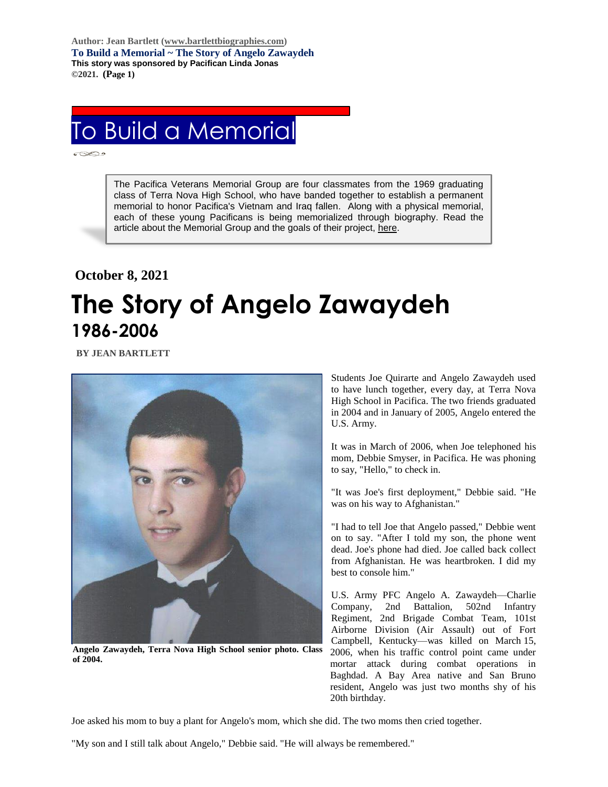**Author: Jean Bartlett [\(www.bartlettbiographies.com\)](http://www.bartlettbiographies.com/) To Build a Memorial ~ The Story of Angelo Zawaydeh This story was sponsored by Pacifican Linda Jonas ©2021. (Page 1)**

## To Build a Memorial

The Pacifica Veterans Memorial Group are four classmates from the 1969 graduating class of Terra Nova High School, who have banded together to establish a permanent memorial to honor Pacifica's Vietnam and Iraq fallen. Along with a physical memorial, each of these young Pacificans is being memorialized through biography. Read the article about the Memorial Group and the goals of their project, [here.](https://46d14119-b42d-469c-887f-083db2a10fe7.filesusr.com/ugd/5ea9c3_694b61f9c88d4750bf1a520233e8f35f.pdf)

## **October 8, 2021**

## **The Story of Angelo Zawaydeh 1986-2006**

 **BY JEAN BARTLETT** 



**Angelo Zawaydeh, Terra Nova High School senior photo. Class of 2004.**

Students Joe Quirarte and Angelo Zawaydeh used to have lunch together, every day, at Terra Nova High School in Pacifica. The two friends graduated in 2004 and in January of 2005, Angelo entered the U.S. Army.

It was in March of 2006, when Joe telephoned his mom, Debbie Smyser, in Pacifica. He was phoning to say, "Hello," to check in.

"It was Joe's first deployment," Debbie said. "He was on his way to Afghanistan."

"I had to tell Joe that Angelo passed," Debbie went on to say. "After I told my son, the phone went dead. Joe's phone had died. Joe called back collect from Afghanistan. He was heartbroken. I did my best to console him."

U.S. Army PFC Angelo A. Zawaydeh—Charlie Company, 2nd Battalion, 502nd Infantry Regiment, 2nd Brigade Combat Team, 101st Airborne Division (Air Assault) out of Fort Campbell, Kentucky—was killed on March 15, 2006, when his traffic control point came under mortar attack during combat operations in Baghdad. A Bay Area native and San Bruno resident, Angelo was just two months shy of his 20th birthday.

Joe asked his mom to buy a plant for Angelo's mom, which she did. The two moms then cried together.

"My son and I still talk about Angelo," Debbie said. "He will always be remembered."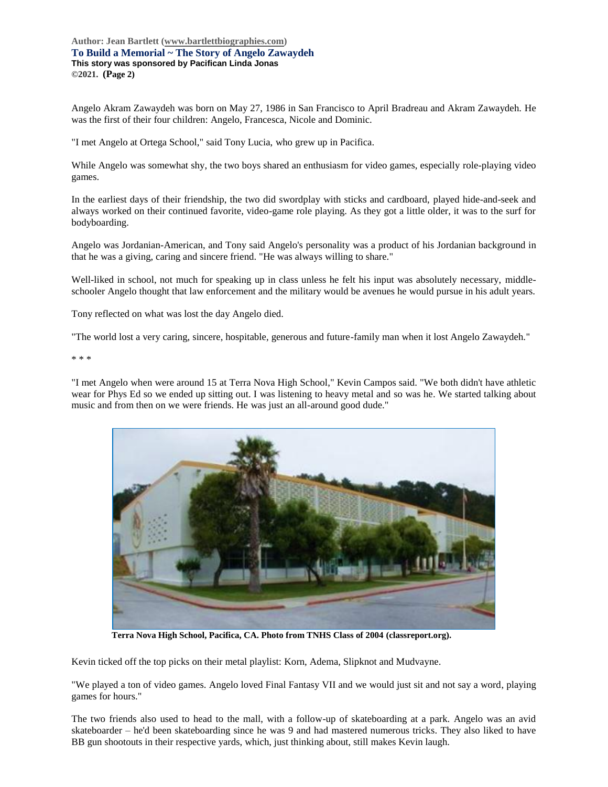## **Author: Jean Bartlett [\(www.bartlettbiographies.com\)](http://www.bartlettbiographies.com/) To Build a Memorial ~ The Story of Angelo Zawaydeh This story was sponsored by Pacifican Linda Jonas ©2021. (Page 2)**

Angelo Akram Zawaydeh was born on May 27, 1986 in San Francisco to April Bradreau and Akram Zawaydeh. He was the first of their four children: Angelo, Francesca, Nicole and Dominic.

"I met Angelo at Ortega School," said Tony Lucia, who grew up in Pacifica.

While Angelo was somewhat shy, the two boys shared an enthusiasm for video games, especially role-playing video games.

In the earliest days of their friendship, the two did swordplay with sticks and cardboard, played hide-and-seek and always worked on their continued favorite, video-game role playing. As they got a little older, it was to the surf for bodyboarding.

Angelo was Jordanian-American, and Tony said Angelo's personality was a product of his Jordanian background in that he was a giving, caring and sincere friend. "He was always willing to share."

Well-liked in school, not much for speaking up in class unless he felt his input was absolutely necessary, middleschooler Angelo thought that law enforcement and the military would be avenues he would pursue in his adult years.

Tony reflected on what was lost the day Angelo died.

"The world lost a very caring, sincere, hospitable, generous and future-family man when it lost Angelo Zawaydeh."

\* \* \*

"I met Angelo when were around 15 at Terra Nova High School," Kevin Campos said. "We both didn't have athletic wear for Phys Ed so we ended up sitting out. I was listening to heavy metal and so was he. We started talking about music and from then on we were friends. He was just an all-around good dude."



**Terra Nova High School, Pacifica, CA. Photo from TNHS Class of 2004 (classreport.org).**

Kevin ticked off the top picks on their metal playlist: Korn, Adema, Slipknot and Mudvayne.

"We played a ton of video games. Angelo loved Final Fantasy VII and we would just sit and not say a word, playing games for hours."

The two friends also used to head to the mall, with a follow-up of skateboarding at a park. Angelo was an avid skateboarder – he'd been skateboarding since he was 9 and had mastered numerous tricks. They also liked to have BB gun shootouts in their respective yards, which, just thinking about, still makes Kevin laugh.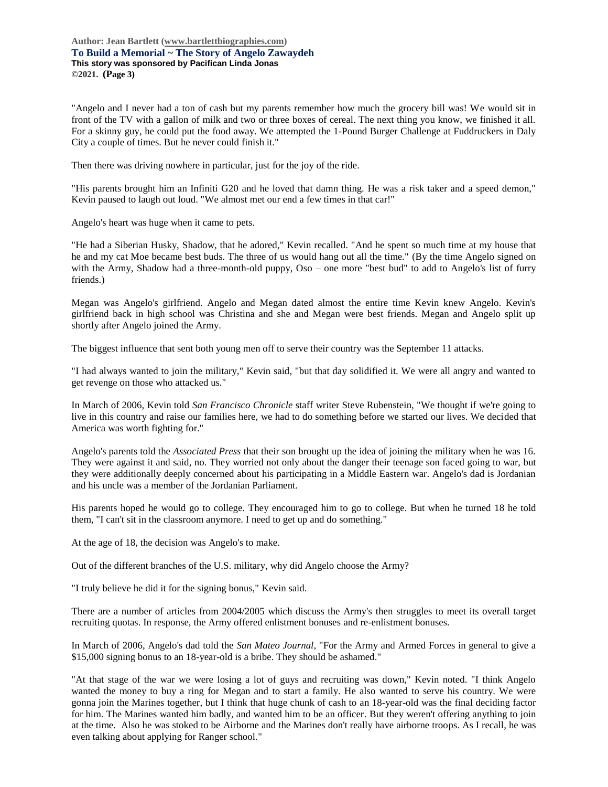**Author: Jean Bartlett [\(www.bartlettbiographies.com\)](http://www.bartlettbiographies.com/) To Build a Memorial ~ The Story of Angelo Zawaydeh This story was sponsored by Pacifican Linda Jonas ©2021. (Page 3)**

"Angelo and I never had a ton of cash but my parents remember how much the grocery bill was! We would sit in front of the TV with a gallon of milk and two or three boxes of cereal. The next thing you know, we finished it all. For a skinny guy, he could put the food away. We attempted the 1-Pound Burger Challenge at Fuddruckers in Daly City a couple of times. But he never could finish it."

Then there was driving nowhere in particular, just for the joy of the ride.

"His parents brought him an Infiniti G20 and he loved that damn thing. He was a risk taker and a speed demon," Kevin paused to laugh out loud. "We almost met our end a few times in that car!"

Angelo's heart was huge when it came to pets.

"He had a Siberian Husky, Shadow, that he adored," Kevin recalled. "And he spent so much time at my house that he and my cat Moe became best buds. The three of us would hang out all the time." (By the time Angelo signed on with the Army, Shadow had a three-month-old puppy, Oso – one more "best bud" to add to Angelo's list of furry friends.)

Megan was Angelo's girlfriend. Angelo and Megan dated almost the entire time Kevin knew Angelo. Kevin's girlfriend back in high school was Christina and she and Megan were best friends. Megan and Angelo split up shortly after Angelo joined the Army.

The biggest influence that sent both young men off to serve their country was the September 11 attacks.

"I had always wanted to join the military," Kevin said, "but that day solidified it. We were all angry and wanted to get revenge on those who attacked us."

In March of 2006, Kevin told *San Francisco Chronicle* staff writer Steve Rubenstein, "We thought if we're going to live in this country and raise our families here, we had to do something before we started our lives. We decided that America was worth fighting for."

Angelo's parents told the *Associated Press* that their son brought up the idea of joining the military when he was 16. They were against it and said, no. They worried not only about the danger their teenage son faced going to war, but they were additionally deeply concerned about his participating in a Middle Eastern war. Angelo's dad is Jordanian and his uncle was a member of the Jordanian Parliament.

His parents hoped he would go to college. They encouraged him to go to college. But when he turned 18 he told them, "I can't sit in the classroom anymore. I need to get up and do something."

At the age of 18, the decision was Angelo's to make.

Out of the different branches of the U.S. military, why did Angelo choose the Army?

"I truly believe he did it for the signing bonus," Kevin said.

There are a number of articles from 2004/2005 which discuss the Army's then struggles to meet its overall target recruiting quotas. In response, the Army offered enlistment bonuses and re-enlistment bonuses.

In March of 2006, Angelo's dad told the *San Mateo Journal*, "For the Army and Armed Forces in general to give a \$15,000 signing bonus to an 18-year-old is a bribe. They should be ashamed."

"At that stage of the war we were losing a lot of guys and recruiting was down," Kevin noted. "I think Angelo wanted the money to buy a ring for Megan and to start a family. He also wanted to serve his country. We were gonna join the Marines together, but I think that huge chunk of cash to an 18-year-old was the final deciding factor for him. The Marines wanted him badly, and wanted him to be an officer. But they weren't offering anything to join at the time. Also he was stoked to be Airborne and the Marines don't really have airborne troops. As I recall, he was even talking about applying for Ranger school."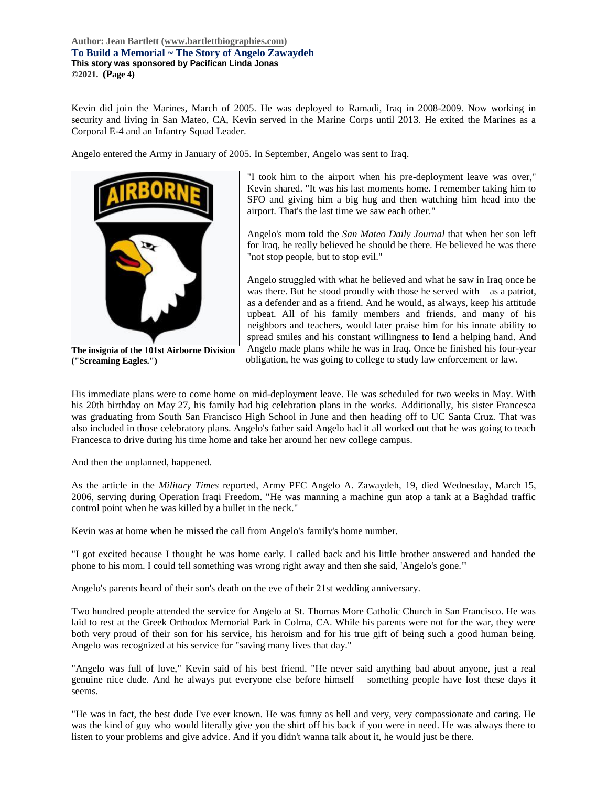**Author: Jean Bartlett [\(www.bartlettbiographies.com\)](http://www.bartlettbiographies.com/) To Build a Memorial ~ The Story of Angelo Zawaydeh This story was sponsored by Pacifican Linda Jonas ©2021. (Page 4)**

Kevin did join the Marines, March of 2005. He was deployed to Ramadi, Iraq in 2008-2009. Now working in security and living in San Mateo, CA, Kevin served in the Marine Corps until 2013. He exited the Marines as a Corporal E-4 and an Infantry Squad Leader.

Angelo entered the Army in January of 2005. In September, Angelo was sent to Iraq.



**The insignia of the 101st Airborne Division ("Screaming Eagles.")**

"I took him to the airport when his pre-deployment leave was over," Kevin shared. "It was his last moments home. I remember taking him to SFO and giving him a big hug and then watching him head into the airport. That's the last time we saw each other."

Angelo's mom told the *San Mateo Daily Journal* that when her son left for Iraq, he really believed he should be there. He believed he was there "not stop people, but to stop evil."

Angelo struggled with what he believed and what he saw in Iraq once he was there. But he stood proudly with those he served with – as a patriot, as a defender and as a friend. And he would, as always, keep his attitude upbeat. All of his family members and friends, and many of his neighbors and teachers, would later praise him for his innate ability to spread smiles and his constant willingness to lend a helping hand. And Angelo made plans while he was in Iraq. Once he finished his four-year obligation, he was going to college to study law enforcement or law.

His immediate plans were to come home on mid-deployment leave. He was scheduled for two weeks in May. With his 20th birthday on May 27, his family had big celebration plans in the works. Additionally, his sister Francesca was graduating from South San Francisco High School in June and then heading off to UC Santa Cruz. That was also included in those celebratory plans. Angelo's father said Angelo had it all worked out that he was going to teach Francesca to drive during his time home and take her around her new college campus.

And then the unplanned, happened.

As the article in the *Military Times* reported, Army PFC Angelo A. Zawaydeh, 19, died Wednesday, March 15, 2006, serving during Operation Iraqi Freedom. "He was manning a machine gun atop a tank at a Baghdad traffic control point when he was killed by a bullet in the neck."

Kevin was at home when he missed the call from Angelo's family's home number.

"I got excited because I thought he was home early. I called back and his little brother answered and handed the phone to his mom. I could tell something was wrong right away and then she said, 'Angelo's gone.'"

Angelo's parents heard of their son's death on the eve of their 21st wedding anniversary.

Two hundred people attended the service for Angelo at St. Thomas More Catholic Church in San Francisco. He was laid to rest at the Greek Orthodox Memorial Park in Colma, CA. While his parents were not for the war, they were both very proud of their son for his service, his heroism and for his true gift of being such a good human being. Angelo was recognized at his service for "saving many lives that day."

"Angelo was full of love," Kevin said of his best friend. "He never said anything bad about anyone, just a real genuine nice dude. And he always put everyone else before himself – something people have lost these days it seems.

"He was in fact, the best dude I've ever known. He was funny as hell and very, very compassionate and caring. He was the kind of guy who would literally give you the shirt off his back if you were in need. He was always there to listen to your problems and give advice. And if you didn't wanna talk about it, he would just be there.